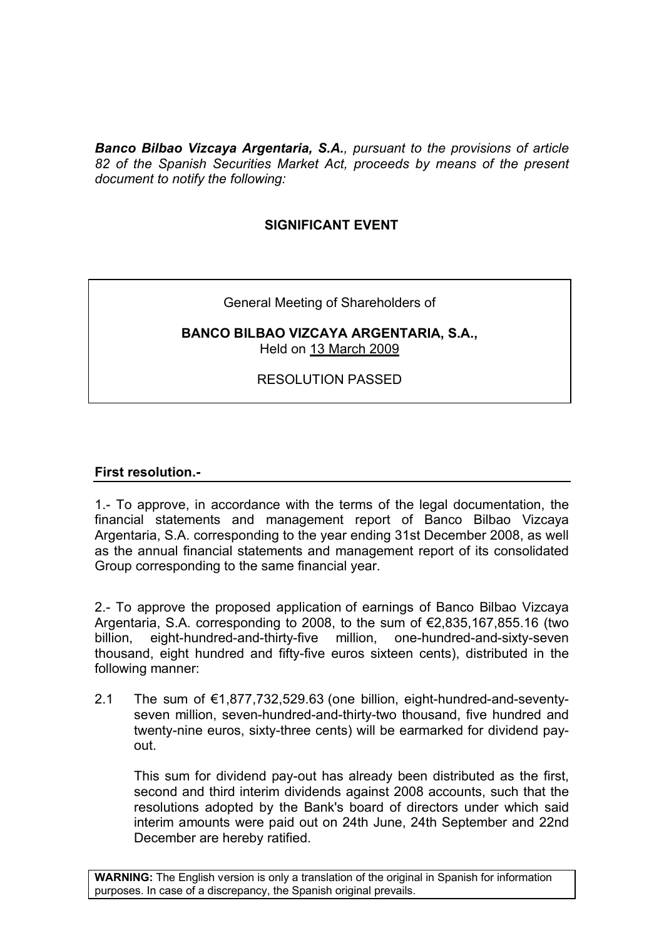*Banco Bilbao Vizcaya Argentaria, S.A., pursuant to the provisions of article 82 of the Spanish Securities Market Act, proceeds by means of the present document to notify the following:*

# **SIGNIFICANT EVENT**

## General Meeting of Shareholders of

### **BANCO BILBAO VIZCAYA ARGENTARIA, S.A.,** Held on 13 March 2009

# RESOLUTION PASSED

## **First resolution.-**

1.- To approve, in accordance with the terms of the legal documentation, the financial statements and management report of Banco Bilbao Vizcaya Argentaria, S.A. corresponding to the year ending 31st December 2008, as well as the annual financial statements and management report of its consolidated Group corresponding to the same financial year.

2.- To approve the proposed application of earnings of Banco Bilbao Vizcaya Argentaria, S.A. corresponding to 2008, to the sum of €2,835,167,855.16 (two billion, eight-hundred-and-thirty-five million, one-hundred-and-sixty-seven thousand, eight hundred and fifty-five euros sixteen cents), distributed in the following manner:

2.1 The sum of €1,877,732,529.63 (one billion, eight-hundred-and-seventyseven million, seven-hundred-and-thirty-two thousand, five hundred and twenty-nine euros, sixty-three cents) will be earmarked for dividend payout.

This sum for dividend pay-out has already been distributed as the first, second and third interim dividends against 2008 accounts, such that the resolutions adopted by the Bank's board of directors under which said interim amounts were paid out on 24th June, 24th September and 22nd December are hereby ratified.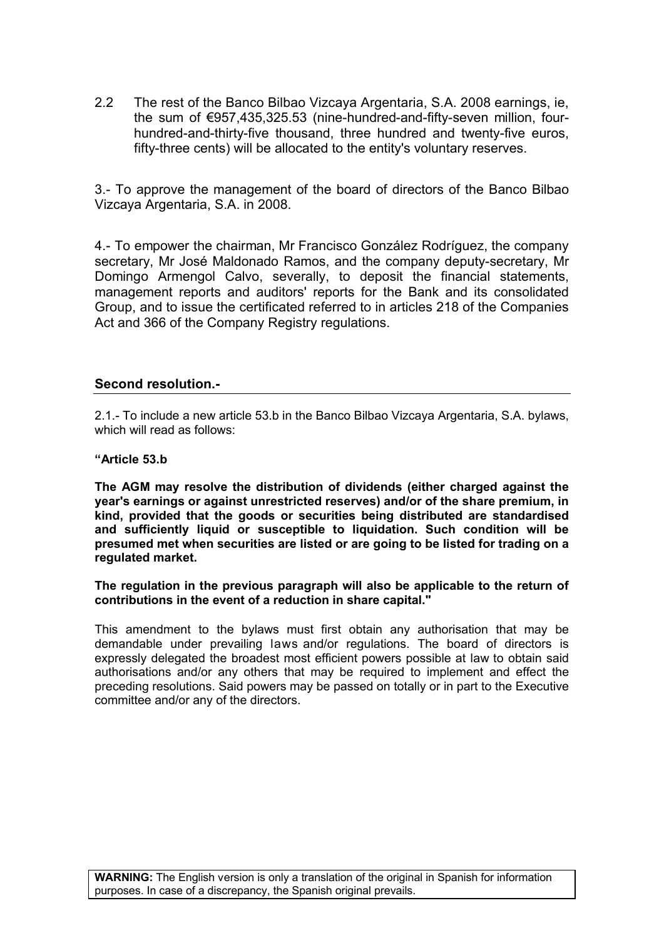2.2 The rest of the Banco Bilbao Vizcaya Argentaria, S.A. 2008 earnings, ie, the sum of €957,435,325.53 (nine-hundred-and-fifty-seven million, fourhundred-and-thirty-five thousand, three hundred and twenty-five euros, fifty-three cents) will be allocated to the entity's voluntary reserves.

3.- To approve the management of the board of directors of the Banco Bilbao Vizcaya Argentaria, S.A. in 2008.

4.- To empower the chairman, Mr Francisco González Rodríguez, the company secretary, Mr José Maldonado Ramos, and the company deputy-secretary, Mr Domingo Armengol Calvo, severally, to deposit the financial statements, management reports and auditors' reports for the Bank and its consolidated Group, and to issue the certificated referred to in articles 218 of the Companies Act and 366 of the Company Registry regulations.

### **Second resolution.-**

2.1.- To include a new article 53.b in the Banco Bilbao Vizcaya Argentaria, S.A. bylaws, which will read as follows:

#### **"Article 53.b**

**The AGM may resolve the distribution of dividends (either charged against the year's earnings or against unrestricted reserves) and/or of the share premium, in kind, provided that the goods or securities being distributed are standardised and sufficiently liquid or susceptible to liquidation. Such condition will be presumed met when securities are listed or are going to be listed for trading on a regulated market.**

**The regulation in the previous paragraph will also be applicable to the return of contributions in the event of a reduction in share capital."**

This amendment to the bylaws must first obtain any authorisation that may be demandable under prevailing laws and/or regulations. The board of directors is expressly delegated the broadest most efficient powers possible at law to obtain said authorisations and/or any others that may be required to implement and effect the preceding resolutions. Said powers may be passed on totally or in part to the Executive committee and/or any of the directors.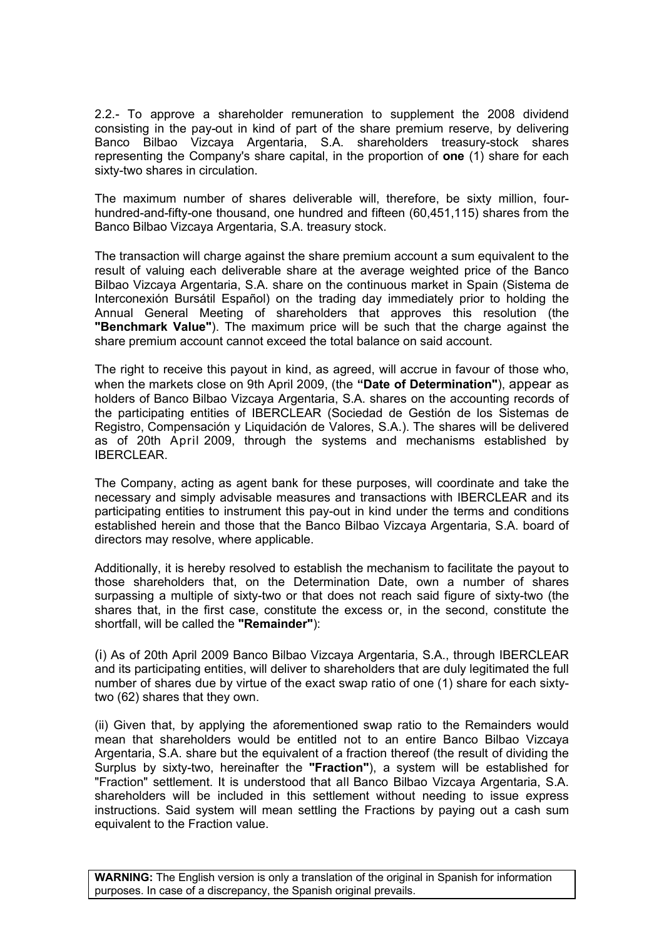2.2.- To approve a shareholder remuneration to supplement the 2008 dividend consisting in the pay-out in kind of part of the share premium reserve, by delivering Banco Bilbao Vizcaya Argentaria, S.A. shareholders treasury-stock shares representing the Company's share capital, in the proportion of **one** (1) share for each sixty-two shares in circulation.

The maximum number of shares deliverable will, therefore, be sixty million, fourhundred-and-fifty-one thousand, one hundred and fifteen (60,451,115) shares from the Banco Bilbao Vizcaya Argentaria, S.A. treasury stock.

The transaction will charge against the share premium account a sum equivalent to the result of valuing each deliverable share at the average weighted price of the Banco Bilbao Vizcaya Argentaria, S.A. share on the continuous market in Spain (Sistema de Interconexión Bursátil Español) on the trading day immediately prior to holding the Annual General Meeting of shareholders that approves this resolution (the **"Benchmark Value"**). The maximum price will be such that the charge against the share premium account cannot exceed the total balance on said account.

The right to receive this payout in kind, as agreed, will accrue in favour of those who, when the markets close on 9th April 2009, (the **"Date of Determination"**), appear as holders of Banco Bilbao Vizcaya Argentaria, S.A. shares on the accounting records of the participating entities of IBERCLEAR (Sociedad de Gestión de los Sistemas de Registro, Compensación y Liquidación de Valores, S.A.). The shares will be delivered as of 20th April 2009, through the systems and mechanisms established by IBERCLEAR.

The Company, acting as agent bank for these purposes, will coordinate and take the necessary and simply advisable measures and transactions with IBERCLEAR and its participating entities to instrument this pay-out in kind under the terms and conditions established herein and those that the Banco Bilbao Vizcaya Argentaria, S.A. board of directors may resolve, where applicable.

Additionally, it is hereby resolved to establish the mechanism to facilitate the payout to those shareholders that, on the Determination Date, own a number of shares surpassing a multiple of sixty-two or that does not reach said figure of sixty-two (the shares that, in the first case, constitute the excess or, in the second, constitute the shortfall, will be called the **"Remainder"**):

(i) As of 20th April 2009 Banco Bilbao Vizcaya Argentaria, S.A., through IBERCLEAR and its participating entities, will deliver to shareholders that are duly legitimated the full number of shares due by virtue of the exact swap ratio of one (1) share for each sixtytwo (62) shares that they own.

(ii) Given that, by applying the aforementioned swap ratio to the Remainders would mean that shareholders would be entitled not to an entire Banco Bilbao Vizcaya Argentaria, S.A. share but the equivalent of a fraction thereof (the result of dividing the Surplus by sixty-two, hereinafter the **"Fraction"**), a system will be established for "Fraction" settlement. It is understood that all Banco Bilbao Vizcaya Argentaria, S.A. shareholders will be included in this settlement without needing to issue express instructions. Said system will mean settling the Fractions by paying out a cash sum equivalent to the Fraction value.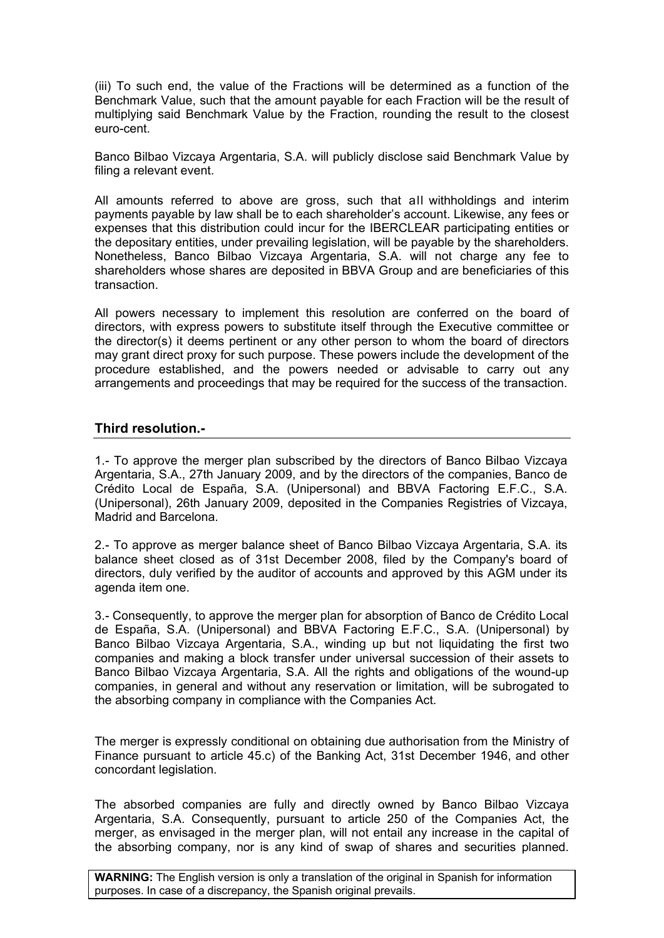(iii) To such end, the value of the Fractions will be determined as a function of the Benchmark Value, such that the amount payable for each Fraction will be the result of multiplying said Benchmark Value by the Fraction, rounding the result to the closest euro-cent.

Banco Bilbao Vizcaya Argentaria, S.A. will publicly disclose said Benchmark Value by filing a relevant event.

All amounts referred to above are gross, such that all withholdings and interim payments payable by law shall be to each shareholder's account. Likewise, any fees or expenses that this distribution could incur for the IBERCLEAR participating entities or the depositary entities, under prevailing legislation, will be payable by the shareholders. Nonetheless, Banco Bilbao Vizcaya Argentaria, S.A. will not charge any fee to shareholders whose shares are deposited in BBVA Group and are beneficiaries of this transaction.

All powers necessary to implement this resolution are conferred on the board of directors, with express powers to substitute itself through the Executive committee or the director(s) it deems pertinent or any other person to whom the board of directors may grant direct proxy for such purpose. These powers include the development of the procedure established, and the powers needed or advisable to carry out any arrangements and proceedings that may be required for the success of the transaction.

## **Third resolution.-**

1.- To approve the merger plan subscribed by the directors of Banco Bilbao Vizcaya Argentaria, S.A., 27th January 2009, and by the directors of the companies, Banco de Crédito Local de España, S.A. (Unipersonal) and BBVA Factoring E.F.C., S.A. (Unipersonal), 26th January 2009, deposited in the Companies Registries of Vizcaya, Madrid and Barcelona.

2.- To approve as merger balance sheet of Banco Bilbao Vizcaya Argentaria, S.A. its balance sheet closed as of 31st December 2008, filed by the Company's board of directors, duly verified by the auditor of accounts and approved by this AGM under its agenda item one.

3.- Consequently, to approve the merger plan for absorption of Banco de Crédito Local de España, S.A. (Unipersonal) and BBVA Factoring E.F.C., S.A. (Unipersonal) by Banco Bilbao Vizcaya Argentaria, S.A., winding up but not liquidating the first two companies and making a block transfer under universal succession of their assets to Banco Bilbao Vizcaya Argentaria, S.A. All the rights and obligations of the wound-up companies, in general and without any reservation or limitation, will be subrogated to the absorbing company in compliance with the Companies Act.

The merger is expressly conditional on obtaining due authorisation from the Ministry of Finance pursuant to article 45.c) of the Banking Act, 31st December 1946, and other concordant legislation.

The absorbed companies are fully and directly owned by Banco Bilbao Vizcaya Argentaria, S.A. Consequently, pursuant to article 250 of the Companies Act, the merger, as envisaged in the merger plan, will not entail any increase in the capital of the absorbing company, nor is any kind of swap of shares and securities planned.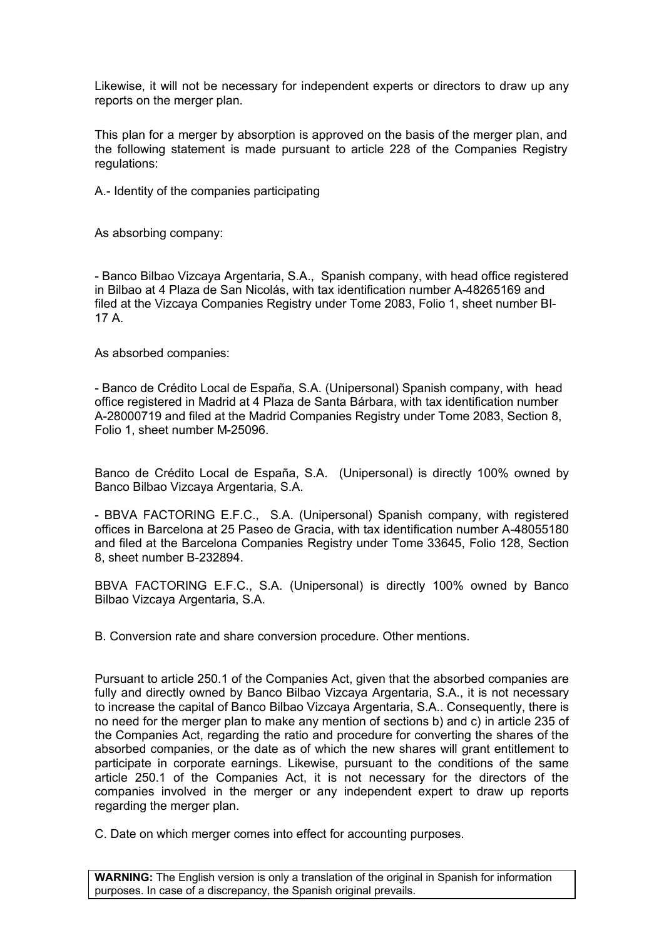Likewise, it will not be necessary for independent experts or directors to draw up any reports on the merger plan.

This plan for a merger by absorption is approved on the basis of the merger plan, and the following statement is made pursuant to article 228 of the Companies Registry regulations:

A.- Identity of the companies participating

As absorbing company:

- Banco Bilbao Vizcaya Argentaria, S.A., Spanish company, with head office registered in Bilbao at 4 Plaza de San Nicolás, with tax identification number A-48265169 and filed at the Vizcaya Companies Registry under Tome 2083, Folio 1, sheet number BI-17 A.

As absorbed companies:

- Banco de Crédito Local de España, S.A. (Unipersonal) Spanish company, with head office registered in Madrid at 4 Plaza de Santa Bárbara, with tax identification number A-28000719 and filed at the Madrid Companies Registry under Tome 2083, Section 8, Folio 1, sheet number M-25096.

Banco de Crédito Local de España, S.A. (Unipersonal) is directly 100% owned by Banco Bilbao Vizcaya Argentaria, S.A.

- BBVA FACTORING E.F.C., S.A. (Unipersonal) Spanish company, with registered offices in Barcelona at 25 Paseo de Gracia, with tax identification number A-48055180 and filed at the Barcelona Companies Registry under Tome 33645, Folio 128, Section 8, sheet number B-232894.

BBVA FACTORING E.F.C., S.A. (Unipersonal) is directly 100% owned by Banco Bilbao Vizcaya Argentaria, S.A.

B. Conversion rate and share conversion procedure. Other mentions.

Pursuant to article 250.1 of the Companies Act, given that the absorbed companies are fully and directly owned by Banco Bilbao Vizcaya Argentaria, S.A., it is not necessary to increase the capital of Banco Bilbao Vizcaya Argentaria, S.A.. Consequently, there is no need for the merger plan to make any mention of sections b) and c) in article 235 of the Companies Act, regarding the ratio and procedure for converting the shares of the absorbed companies, or the date as of which the new shares will grant entitlement to participate in corporate earnings. Likewise, pursuant to the conditions of the same article 250.1 of the Companies Act, it is not necessary for the directors of the companies involved in the merger or any independent expert to draw up reports regarding the merger plan.

C. Date on which merger comes into effect for accounting purposes.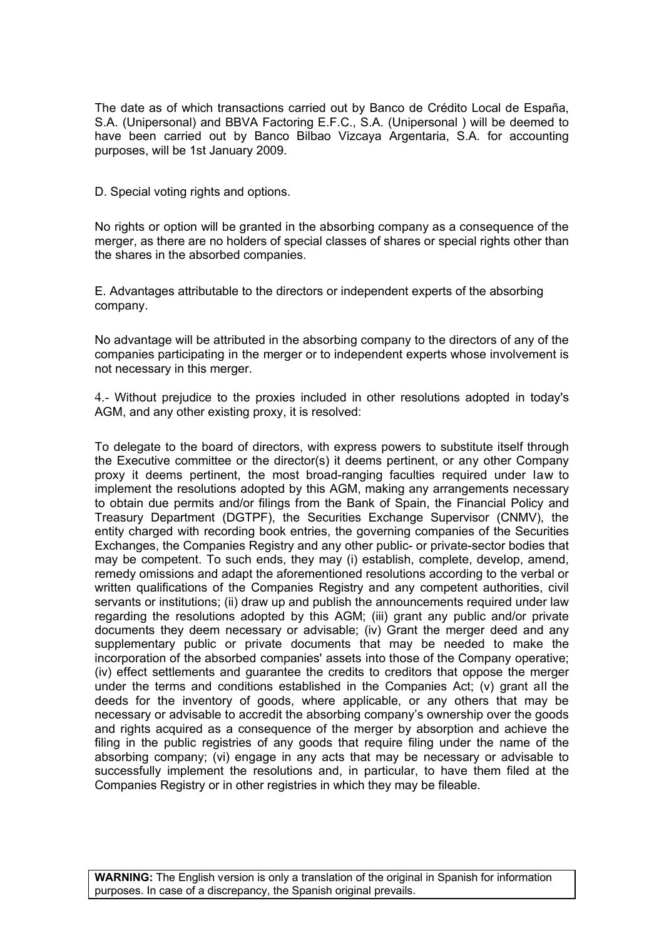The date as of which transactions carried out by Banco de Crédito Local de España, S.A. (Unipersonal) and BBVA Factoring E.F.C., S.A. (Unipersonal ) will be deemed to have been carried out by Banco Bilbao Vizcaya Argentaria, S.A. for accounting purposes, will be 1st January 2009.

D. Special voting rights and options.

No rights or option will be granted in the absorbing company as a consequence of the merger, as there are no holders of special classes of shares or special rights other than the shares in the absorbed companies.

E. Advantages attributable to the directors or independent experts of the absorbing company.

No advantage will be attributed in the absorbing company to the directors of any of the companies participating in the merger or to independent experts whose involvement is not necessary in this merger.

4.- Without prejudice to the proxies included in other resolutions adopted in today's AGM, and any other existing proxy, it is resolved:

To delegate to the board of directors, with express powers to substitute itself through the Executive committee or the director(s) it deems pertinent, or any other Company proxy it deems pertinent, the most broad-ranging faculties required under law to implement the resolutions adopted by this AGM, making any arrangements necessary to obtain due permits and/or filings from the Bank of Spain, the Financial Policy and Treasury Department (DGTPF), the Securities Exchange Supervisor (CNMV), the entity charged with recording book entries, the governing companies of the Securities Exchanges, the Companies Registry and any other public- or private-sector bodies that may be competent. To such ends, they may (i) establish, complete, develop, amend, remedy omissions and adapt the aforementioned resolutions according to the verbal or written qualifications of the Companies Registry and any competent authorities, civil servants or institutions; (ii) draw up and publish the announcements required under law regarding the resolutions adopted by this AGM; (iii) grant any public and/or private documents they deem necessary or advisable; (iv) Grant the merger deed and any supplementary public or private documents that may be needed to make the incorporation of the absorbed companies' assets into those of the Company operative; (iv) effect settlements and guarantee the credits to creditors that oppose the merger under the terms and conditions established in the Companies Act; (v) grant all the deeds for the inventory of goods, where applicable, or any others that may be necessary or advisable to accredit the absorbing company's ownership over the goods and rights acquired as a consequence of the merger by absorption and achieve the filing in the public registries of any goods that require filing under the name of the absorbing company; (vi) engage in any acts that may be necessary or advisable to successfully implement the resolutions and, in particular, to have them filed at the Companies Registry or in other registries in which they may be fileable.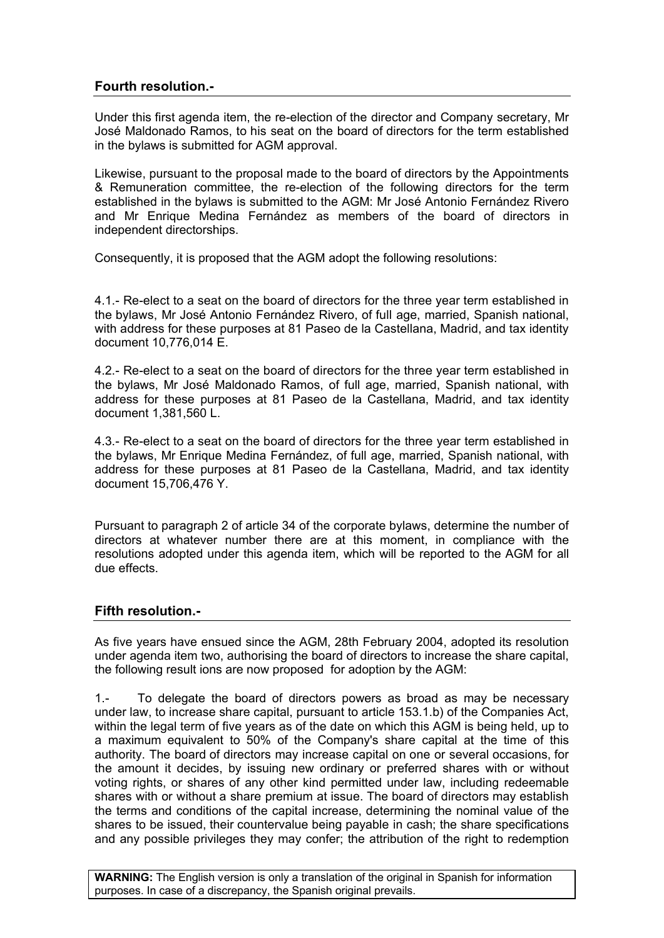## **Fourth resolution.-**

Under this first agenda item, the re-election of the director and Company secretary, Mr José Maldonado Ramos, to his seat on the board of directors for the term established in the bylaws is submitted for AGM approval.

Likewise, pursuant to the proposal made to the board of directors by the Appointments & Remuneration committee, the re-election of the following directors for the term established in the bylaws is submitted to the AGM: Mr José Antonio Fernández Rivero and Mr Enrique Medina Fernández as members of the board of directors in independent directorships.

Consequently, it is proposed that the AGM adopt the following resolutions:

4.1.- Re-elect to a seat on the board of directors for the three year term established in the bylaws, Mr José Antonio Fernández Rivero, of full age, married, Spanish national, with address for these purposes at 81 Paseo de la Castellana, Madrid, and tax identity document 10,776,014 E.

4.2.- Re-elect to a seat on the board of directors for the three year term established in the bylaws, Mr José Maldonado Ramos, of full age, married, Spanish national, with address for these purposes at 81 Paseo de la Castellana, Madrid, and tax identity document 1,381,560 L.

4.3.- Re-elect to a seat on the board of directors for the three year term established in the bylaws, Mr Enrique Medina Fernández, of full age, married, Spanish national, with address for these purposes at 81 Paseo de la Castellana, Madrid, and tax identity document 15,706,476 Y.

Pursuant to paragraph 2 of article 34 of the corporate bylaws, determine the number of directors at whatever number there are at this moment, in compliance with the resolutions adopted under this agenda item, which will be reported to the AGM for all due effects.

#### **Fifth resolution.-**

As five years have ensued since the AGM, 28th February 2004, adopted its resolution under agenda item two, authorising the board of directors to increase the share capital, the following result ions are now proposed for adoption by the AGM:

1.- To delegate the board of directors powers as broad as may be necessary under law, to increase share capital, pursuant to article 153.1.b) of the Companies Act, within the legal term of five years as of the date on which this AGM is being held, up to a maximum equivalent to 50% of the Company's share capital at the time of this authority. The board of directors may increase capital on one or several occasions, for the amount it decides, by issuing new ordinary or preferred shares with or without voting rights, or shares of any other kind permitted under law, including redeemable shares with or without a share premium at issue. The board of directors may establish the terms and conditions of the capital increase, determining the nominal value of the shares to be issued, their countervalue being payable in cash; the share specifications and any possible privileges they may confer; the attribution of the right to redemption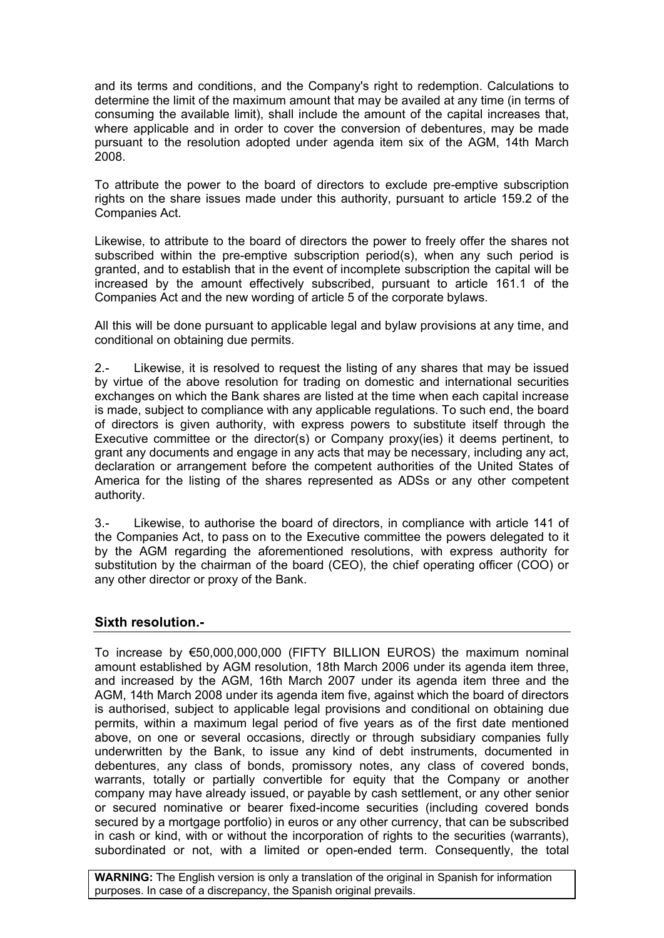and its terms and conditions, and the Company's right to redemption. Calculations to determine the limit of the maximum amount that may be availed at any time (in terms of consuming the available limit), shall include the amount of the capital increases that, where applicable and in order to cover the conversion of debentures, may be made pursuant to the resolution adopted under agenda item six of the AGM, 14th March 2008.

To attribute the power to the board of directors to exclude pre-emptive subscription rights on the share issues made under this authority, pursuant to article 159.2 of the Companies Act.

Likewise, to attribute to the board of directors the power to freely offer the shares not subscribed within the pre-emptive subscription period(s), when any such period is granted, and to establish that in the event of incomplete subscription the capital will be increased by the amount effectively subscribed, pursuant to article 161.1 of the Companies Act and the new wording of article 5 of the corporate bylaws.

All this will be done pursuant to applicable legal and bylaw provisions at any time, and conditional on obtaining due permits.

2.- Likewise, it is resolved to request the listing of any shares that may be issued by virtue of the above resolution for trading on domestic and international securities exchanges on which the Bank shares are listed at the time when each capital increase is made, subject to compliance with any applicable regulations. To such end, the board of directors is given authority, with express powers to substitute itself through the Executive committee or the director(s) or Company proxy(ies) it deems pertinent, to grant any documents and engage in any acts that may be necessary, including any act, declaration or arrangement before the competent authorities of the United States of America for the listing of the shares represented as ADSs or any other competent authority.

3.- Likewise, to authorise the board of directors, in compliance with article 141 of the Companies Act, to pass on to the Executive committee the powers delegated to it by the AGM regarding the aforementioned resolutions, with express authority for substitution by the chairman of the board (CEO), the chief operating officer (COO) or any other director or proxy of the Bank.

## **Sixth resolution.-**

To increase by €50,000,000,000 (FIFTY BILLION EUROS) the maximum nominal amount established by AGM resolution, 18th March 2006 under its agenda item three, and increased by the AGM, 16th March 2007 under its agenda item three and the AGM, 14th March 2008 under its agenda item five, against which the board of directors is authorised, subject to applicable legal provisions and conditional on obtaining due permits, within a maximum legal period of five years as of the first date mentioned above, on one or several occasions, directly or through subsidiary companies fully underwritten by the Bank, to issue any kind of debt instruments, documented in debentures, any class of bonds, promissory notes, any class of covered bonds, warrants, totally or partially convertible for equity that the Company or another company may have already issued, or payable by cash settlement, or any other senior or secured nominative or bearer fixed-income securities (including covered bonds secured by a mortgage portfolio) in euros or any other currency, that can be subscribed in cash or kind, with or without the incorporation of rights to the securities (warrants), subordinated or not, with a limited or open-ended term. Consequently, the total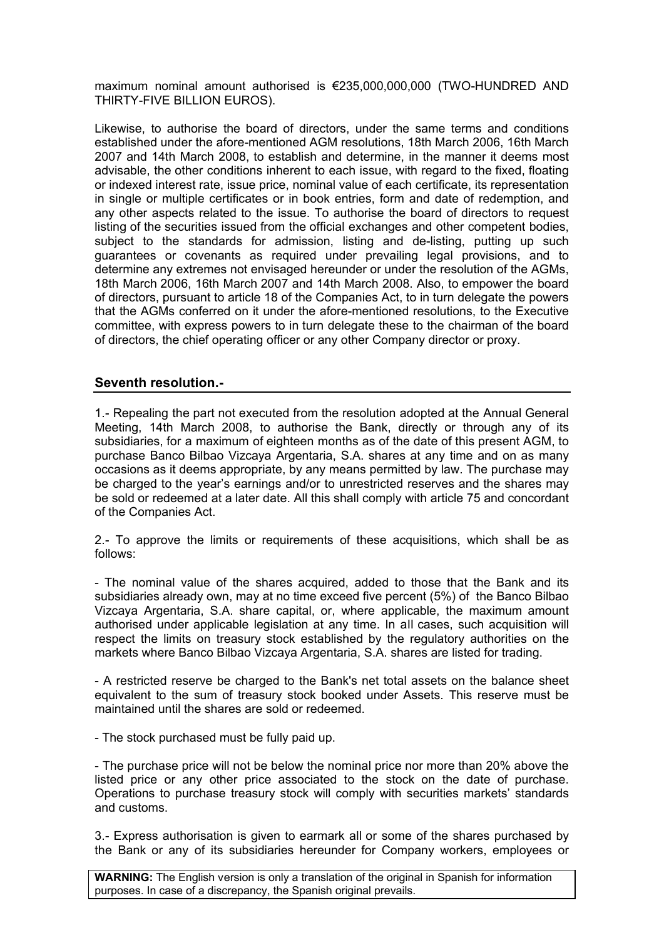maximum nominal amount authorised is €235,000,000,000 (TWO-HUNDRED AND THIRTY-FIVE BILLION EUROS).

Likewise, to authorise the board of directors, under the same terms and conditions established under the afore-mentioned AGM resolutions, 18th March 2006, 16th March 2007 and 14th March 2008, to establish and determine, in the manner it deems most advisable, the other conditions inherent to each issue, with regard to the fixed, floating or indexed interest rate, issue price, nominal value of each certificate, its representation in single or multiple certificates or in book entries, form and date of redemption, and any other aspects related to the issue. To authorise the board of directors to request listing of the securities issued from the official exchanges and other competent bodies, subject to the standards for admission, listing and de-listing, putting up such guarantees or covenants as required under prevailing legal provisions, and to determine any extremes not envisaged hereunder or under the resolution of the AGMs, 18th March 2006, 16th March 2007 and 14th March 2008. Also, to empower the board of directors, pursuant to article 18 of the Companies Act, to in turn delegate the powers that the AGMs conferred on it under the afore-mentioned resolutions, to the Executive committee, with express powers to in turn delegate these to the chairman of the board of directors, the chief operating officer or any other Company director or proxy.

### **Seventh resolution.-**

1.- Repealing the part not executed from the resolution adopted at the Annual General Meeting, 14th March 2008, to authorise the Bank, directly or through any of its subsidiaries, for a maximum of eighteen months as of the date of this present AGM, to purchase Banco Bilbao Vizcaya Argentaria, S.A. shares at any time and on as many occasions as it deems appropriate, by any means permitted by law. The purchase may be charged to the year's earnings and/or to unrestricted reserves and the shares may be sold or redeemed at a later date. All this shall comply with article 75 and concordant of the Companies Act.

2.- To approve the limits or requirements of these acquisitions, which shall be as follows:

- The nominal value of the shares acquired, added to those that the Bank and its subsidiaries already own, may at no time exceed five percent (5%) of the Banco Bilbao Vizcaya Argentaria, S.A. share capital, or, where applicable, the maximum amount authorised under applicable legislation at any time. In all cases, such acquisition will respect the limits on treasury stock established by the regulatory authorities on the markets where Banco Bilbao Vizcaya Argentaria, S.A. shares are listed for trading.

- A restricted reserve be charged to the Bank's net total assets on the balance sheet equivalent to the sum of treasury stock booked under Assets. This reserve must be maintained until the shares are sold or redeemed.

- The stock purchased must be fully paid up.

- The purchase price will not be below the nominal price nor more than 20% above the listed price or any other price associated to the stock on the date of purchase. Operations to purchase treasury stock will comply with securities markets' standards and customs.

3.- Express authorisation is given to earmark all or some of the shares purchased by the Bank or any of its subsidiaries hereunder for Company workers, employees or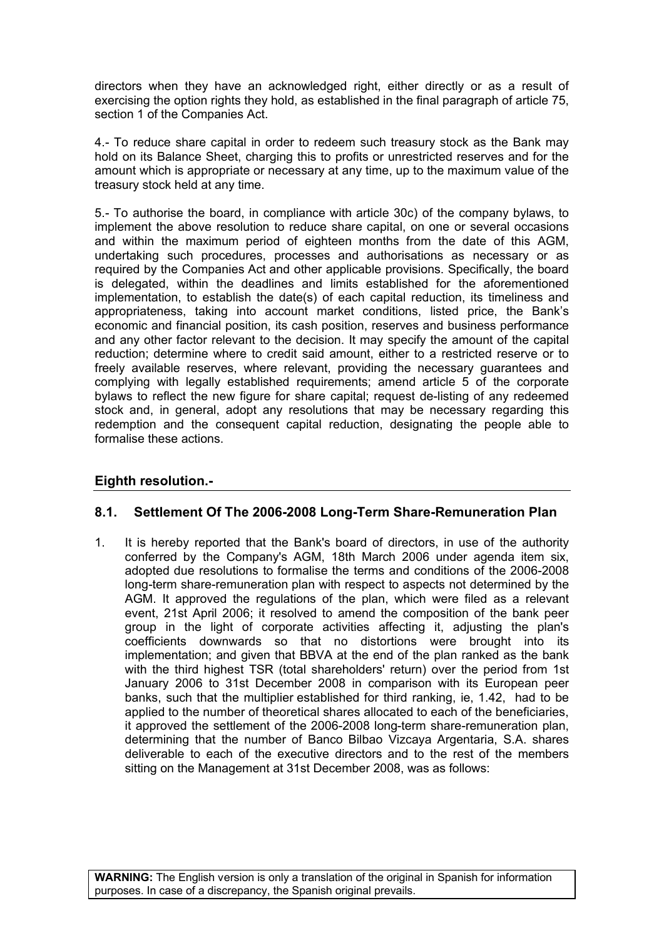directors when they have an acknowledged right, either directly or as a result of exercising the option rights they hold, as established in the final paragraph of article 75, section 1 of the Companies Act.

4.- To reduce share capital in order to redeem such treasury stock as the Bank may hold on its Balance Sheet, charging this to profits or unrestricted reserves and for the amount which is appropriate or necessary at any time, up to the maximum value of the treasury stock held at any time.

5.- To authorise the board, in compliance with article 30c) of the company bylaws, to implement the above resolution to reduce share capital, on one or several occasions and within the maximum period of eighteen months from the date of this AGM, undertaking such procedures, processes and authorisations as necessary or as required by the Companies Act and other applicable provisions. Specifically, the board is delegated, within the deadlines and limits established for the aforementioned implementation, to establish the date(s) of each capital reduction, its timeliness and appropriateness, taking into account market conditions, listed price, the Bank's economic and financial position, its cash position, reserves and business performance and any other factor relevant to the decision. It may specify the amount of the capital reduction; determine where to credit said amount, either to a restricted reserve or to freely available reserves, where relevant, providing the necessary guarantees and complying with legally established requirements; amend article 5 of the corporate bylaws to reflect the new figure for share capital; request de-listing of any redeemed stock and, in general, adopt any resolutions that may be necessary regarding this redemption and the consequent capital reduction, designating the people able to formalise these actions.

# **Eighth resolution.-**

## **8.1. Settlement Of The 2006-2008 Long-Term Share-Remuneration Plan**

1. It is hereby reported that the Bank's board of directors, in use of the authority conferred by the Company's AGM, 18th March 2006 under agenda item six, adopted due resolutions to formalise the terms and conditions of the 2006-2008 long-term share-remuneration plan with respect to aspects not determined by the AGM. It approved the regulations of the plan, which were filed as a relevant event, 21st April 2006; it resolved to amend the composition of the bank peer group in the light of corporate activities affecting it, adjusting the plan's coefficients downwards so that no distortions were brought into its implementation; and given that BBVA at the end of the plan ranked as the bank with the third highest TSR (total shareholders' return) over the period from 1st January 2006 to 31st December 2008 in comparison with its European peer banks, such that the multiplier established for third ranking, ie, 1.42, had to be applied to the number of theoretical shares allocated to each of the beneficiaries, it approved the settlement of the 2006-2008 long-term share-remuneration plan, determining that the number of Banco Bilbao Vizcaya Argentaria, S.A. shares deliverable to each of the executive directors and to the rest of the members sitting on the Management at 31st December 2008, was as follows: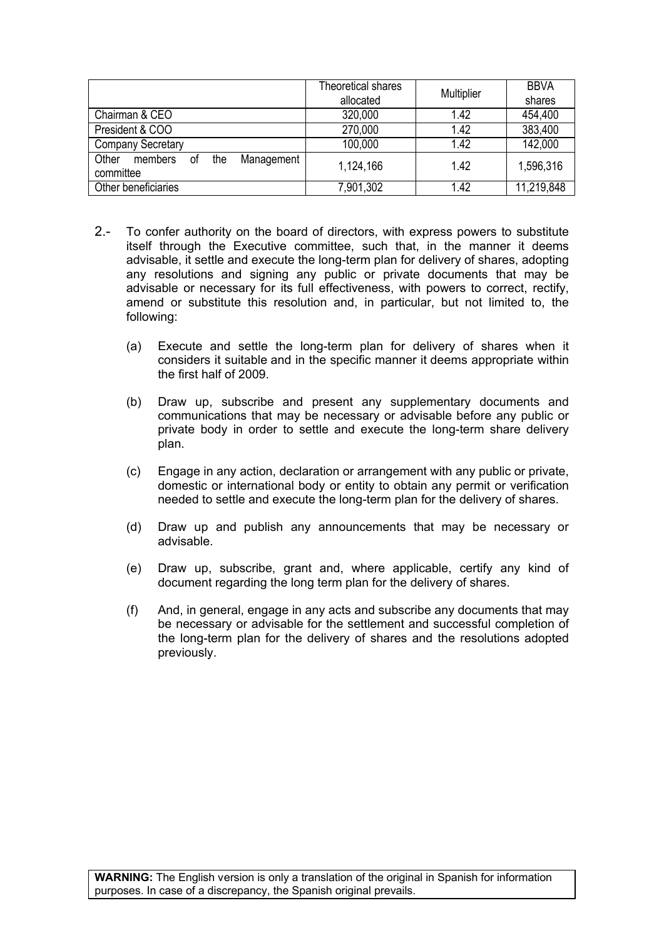|                                                          | Theoretical shares | Multiplier | <b>BBVA</b> |
|----------------------------------------------------------|--------------------|------------|-------------|
|                                                          | allocated          |            | shares      |
| Chairman & CEO                                           | 320,000            | 1.42       | 454,400     |
| President & COO                                          | 270,000            | 1.42       | 383,400     |
| <b>Company Secretary</b>                                 | 100,000            | 1.42       | 142,000     |
| Other<br>the<br>Management<br>members<br>οt<br>committee | 1,124,166          | 1.42       | 1,596,316   |
| Other beneficiaries                                      | 7,901,302          | 1.42       | 11,219,848  |

- 2.- To confer authority on the board of directors, with express powers to substitute itself through the Executive committee, such that, in the manner it deems advisable, it settle and execute the long-term plan for delivery of shares, adopting any resolutions and signing any public or private documents that may be advisable or necessary for its full effectiveness, with powers to correct, rectify, amend or substitute this resolution and, in particular, but not limited to, the following:
	- (a) Execute and settle the long-term plan for delivery of shares when it considers it suitable and in the specific manner it deems appropriate within the first half of 2009.
	- (b) Draw up, subscribe and present any supplementary documents and communications that may be necessary or advisable before any public or private body in order to settle and execute the long-term share delivery plan.
	- (c) Engage in any action, declaration or arrangement with any public or private, domestic or international body or entity to obtain any permit or verification needed to settle and execute the long-term plan for the delivery of shares.
	- (d) Draw up and publish any announcements that may be necessary or advisable.
	- (e) Draw up, subscribe, grant and, where applicable, certify any kind of document regarding the long term plan for the delivery of shares.
	- (f) And, in general, engage in any acts and subscribe any documents that may be necessary or advisable for the settlement and successful completion of the long-term plan for the delivery of shares and the resolutions adopted previously.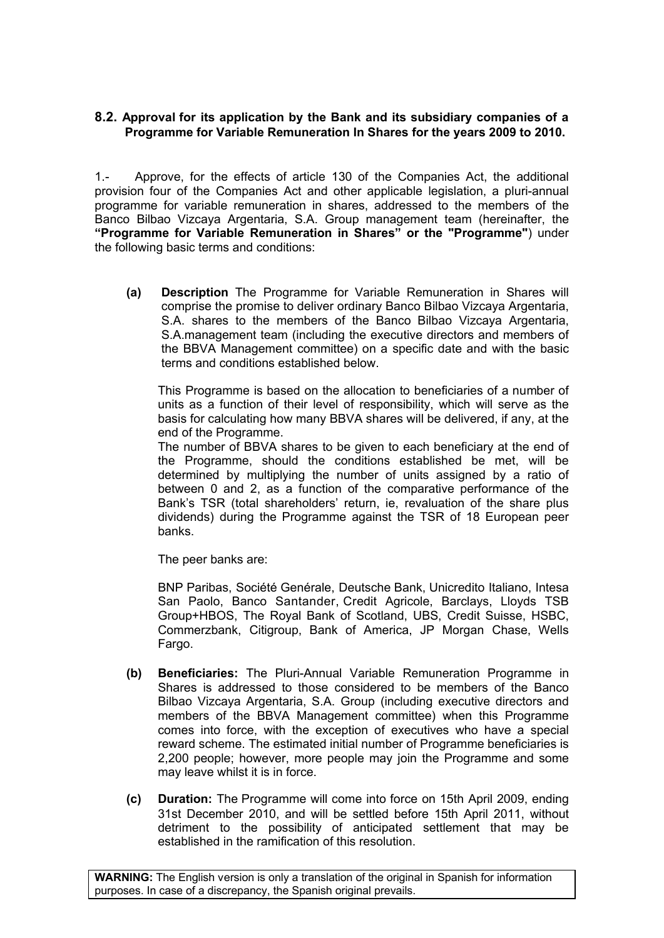### **8.2. Approval for its application by the Bank and its subsidiary companies of a Programme for Variable Remuneration In Shares for the years 2009 to 2010.**

1.- Approve, for the effects of article 130 of the Companies Act, the additional provision four of the Companies Act and other applicable legislation, a pluri-annual programme for variable remuneration in shares, addressed to the members of the Banco Bilbao Vizcaya Argentaria, S.A. Group management team (hereinafter, the **"Programme for Variable Remuneration in Shares" or the "Programme"**) under the following basic terms and conditions:

**(a) Description** The Programme for Variable Remuneration in Shares will comprise the promise to deliver ordinary Banco Bilbao Vizcaya Argentaria, S.A. shares to the members of the Banco Bilbao Vizcaya Argentaria, S.A.management team (including the executive directors and members of the BBVA Management committee) on a specific date and with the basic terms and conditions established below.

This Programme is based on the allocation to beneficiaries of a number of units as a function of their level of responsibility, which will serve as the basis for calculating how many BBVA shares will be delivered, if any, at the end of the Programme.

The number of BBVA shares to be given to each beneficiary at the end of the Programme, should the conditions established be met, will be determined by multiplying the number of units assigned by a ratio of between 0 and 2, as a function of the comparative performance of the Bank's TSR (total shareholders' return, ie, revaluation of the share plus dividends) during the Programme against the TSR of 18 European peer banks.

The peer banks are:

BNP Paribas, Société Genérale, Deutsche Bank, Unicredito Italiano, Intesa San Paolo, Banco Santander, Credit Agricole, Barclays, Lloyds TSB Group+HBOS, The Royal Bank of Scotland, UBS, Credit Suisse, HSBC, Commerzbank, Citigroup, Bank of America, JP Morgan Chase, Wells Fargo.

- **(b) Beneficiaries:** The Pluri-Annual Variable Remuneration Programme in Shares is addressed to those considered to be members of the Banco Bilbao Vizcaya Argentaria, S.A. Group (including executive directors and members of the BBVA Management committee) when this Programme comes into force, with the exception of executives who have a special reward scheme. The estimated initial number of Programme beneficiaries is 2,200 people; however, more people may join the Programme and some may leave whilst it is in force.
- **(c) Duration:** The Programme will come into force on 15th April 2009, ending 31st December 2010, and will be settled before 15th April 2011, without detriment to the possibility of anticipated settlement that may be established in the ramification of this resolution.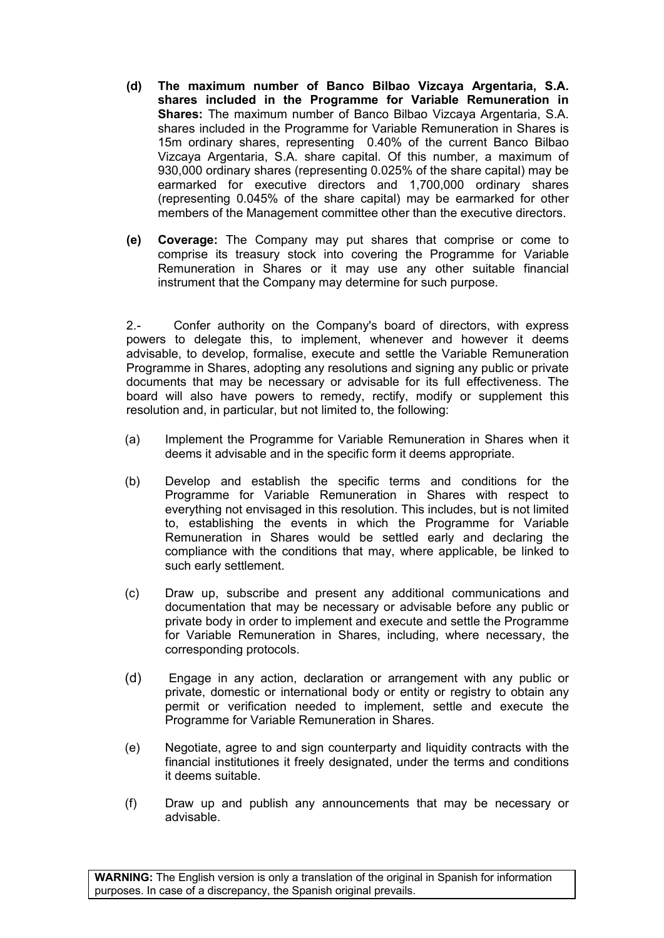- **(d) The maximum number of Banco Bilbao Vizcaya Argentaria, S.A. shares included in the Programme for Variable Remuneration in Shares:** The maximum number of Banco Bilbao Vizcaya Argentaria, S.A. shares included in the Programme for Variable Remuneration in Shares is 15m ordinary shares, representing 0.40% of the current Banco Bilbao Vizcaya Argentaria, S.A. share capital. Of this number, a maximum of 930,000 ordinary shares (representing 0.025% of the share capital) may be earmarked for executive directors and 1,700,000 ordinary shares (representing 0.045% of the share capital) may be earmarked for other members of the Management committee other than the executive directors.
- **(e) Coverage:** The Company may put shares that comprise or come to comprise its treasury stock into covering the Programme for Variable Remuneration in Shares or it may use any other suitable financial instrument that the Company may determine for such purpose.

2.- Confer authority on the Company's board of directors, with express powers to delegate this, to implement, whenever and however it deems advisable, to develop, formalise, execute and settle the Variable Remuneration Programme in Shares, adopting any resolutions and signing any public or private documents that may be necessary or advisable for its full effectiveness. The board will also have powers to remedy, rectify, modify or supplement this resolution and, in particular, but not limited to, the following:

- (a) Implement the Programme for Variable Remuneration in Shares when it deems it advisable and in the specific form it deems appropriate.
- (b) Develop and establish the specific terms and conditions for the Programme for Variable Remuneration in Shares with respect to everything not envisaged in this resolution. This includes, but is not limited to, establishing the events in which the Programme for Variable Remuneration in Shares would be settled early and declaring the compliance with the conditions that may, where applicable, be linked to such early settlement.
- (c) Draw up, subscribe and present any additional communications and documentation that may be necessary or advisable before any public or private body in order to implement and execute and settle the Programme for Variable Remuneration in Shares, including, where necessary, the corresponding protocols.
- (d) Engage in any action, declaration or arrangement with any public or private, domestic or international body or entity or registry to obtain any permit or verification needed to implement, settle and execute the Programme for Variable Remuneration in Shares.
- (e) Negotiate, agree to and sign counterparty and liquidity contracts with the financial institutiones it freely designated, under the terms and conditions it deems suitable.
- (f) Draw up and publish any announcements that may be necessary or advisable.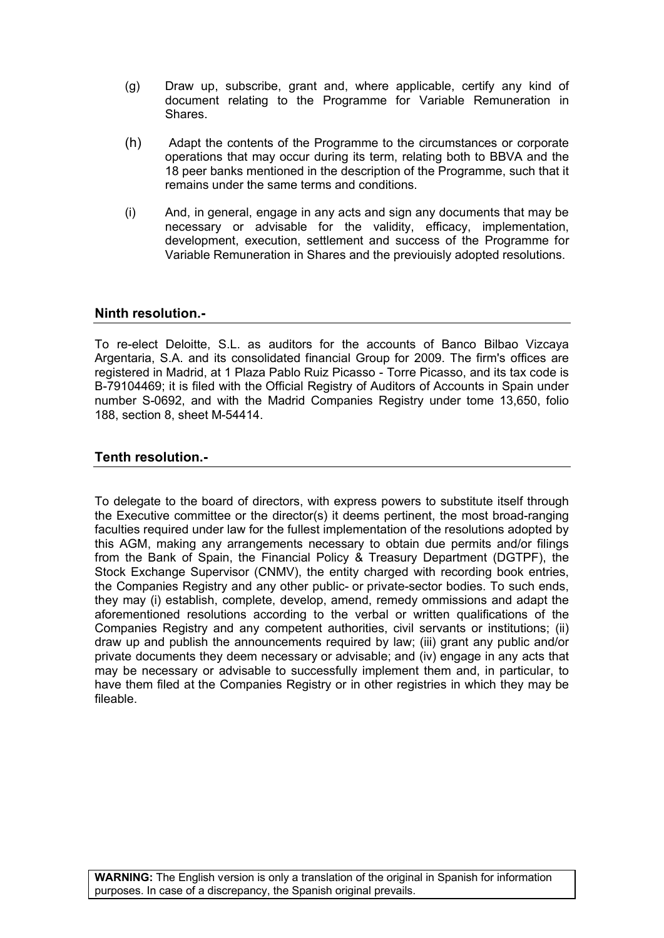- (g) Draw up, subscribe, grant and, where applicable, certify any kind of document relating to the Programme for Variable Remuneration in **Shares**
- (h) Adapt the contents of the Programme to the circumstances or corporate operations that may occur during its term, relating both to BBVA and the 18 peer banks mentioned in the description of the Programme, such that it remains under the same terms and conditions.
- (i) And, in general, engage in any acts and sign any documents that may be necessary or advisable for the validity, efficacy, implementation, development, execution, settlement and success of the Programme for Variable Remuneration in Shares and the previouisly adopted resolutions.

### **Ninth resolution.-**

To re-elect Deloitte, S.L. as auditors for the accounts of Banco Bilbao Vizcaya Argentaria, S.A. and its consolidated financial Group for 2009. The firm's offices are registered in Madrid, at 1 Plaza Pablo Ruiz Picasso - Torre Picasso, and its tax code is B-79104469; it is filed with the Official Registry of Auditors of Accounts in Spain under number S-0692, and with the Madrid Companies Registry under tome 13,650, folio 188, section 8, sheet M-54414.

#### **Tenth resolution.-**

To delegate to the board of directors, with express powers to substitute itself through the Executive committee or the director(s) it deems pertinent, the most broad-ranging faculties required under law for the fullest implementation of the resolutions adopted by this AGM, making any arrangements necessary to obtain due permits and/or filings from the Bank of Spain, the Financial Policy & Treasury Department (DGTPF), the Stock Exchange Supervisor (CNMV), the entity charged with recording book entries, the Companies Registry and any other public- or private-sector bodies. To such ends, they may (i) establish, complete, develop, amend, remedy ommissions and adapt the aforementioned resolutions according to the verbal or written qualifications of the Companies Registry and any competent authorities, civil servants or institutions; (ii) draw up and publish the announcements required by law; (iii) grant any public and/or private documents they deem necessary or advisable; and (iv) engage in any acts that may be necessary or advisable to successfully implement them and, in particular, to have them filed at the Companies Registry or in other registries in which they may be fileable.